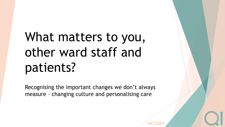# What matters to you, other ward staff and patients?

Recognising the important changes we don't always measure – changing culture and personalising care

NCCM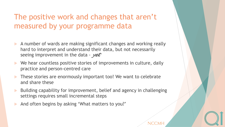### The positive work and changes that aren't measured by your programme data

- A number of wards are making significant changes and working really hard to interpret and understand their data, but not necessarily seeing improvement in the data - *yet*
- We hear countless positive stories of improvements in culture, daily practice and person-centred care
- These stories are enormously important too! We want to celebrate and share these
- Building capability for improvement, belief and agency in challenging settings requires small incremental steps

NCCM

And often begins by asking 'What matters to you?'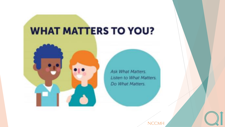# **WHAT MATTERS TO YOU?**



Ask What Matters. Listen to What Matters. Do What Matters.

NCCMH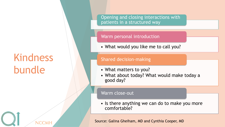# Kindness bundle

NCCMH

Opening and closing interactions with patients in a structured way

#### Warm personal introduction

• What would you like me to call you?

### Shared decision-making

- What matters to you?
- What about today? What would make today a good day?

#### Warm close-out

• Is there anything we can do to make you more comfortable?

Source: Galina Gheiham, MD and Cynthia Cooper, MD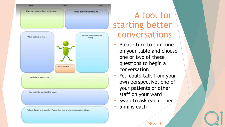

### A tool for starting better conversations

- Please turn to someone on your table and choose one or two of these questions to begin a conversation
- You could talk from your own perspective, one of your patients or other staff on your ward
- Swap to ask each other

NCCMF

5 mins each